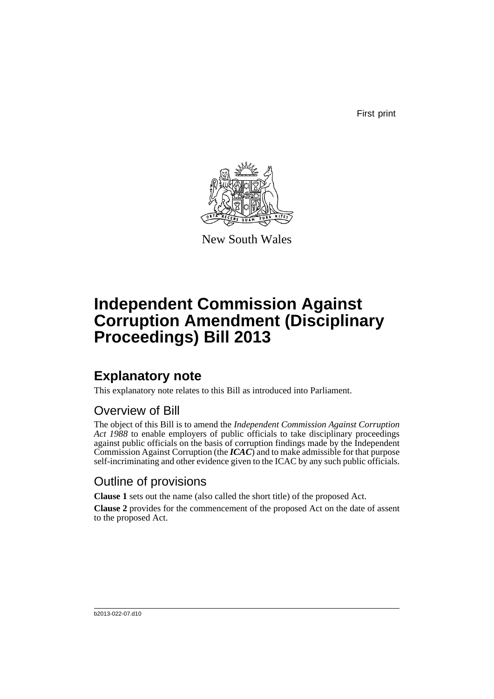First print



New South Wales

# **Independent Commission Against Corruption Amendment (Disciplinary Proceedings) Bill 2013**

## **Explanatory note**

This explanatory note relates to this Bill as introduced into Parliament.

## Overview of Bill

The object of this Bill is to amend the *Independent Commission Against Corruption Act 1988* to enable employers of public officials to take disciplinary proceedings against public officials on the basis of corruption findings made by the Independent Commission Against Corruption (the *ICAC*) and to make admissible for that purpose self-incriminating and other evidence given to the ICAC by any such public officials.

## Outline of provisions

**Clause 1** sets out the name (also called the short title) of the proposed Act.

**Clause 2** provides for the commencement of the proposed Act on the date of assent to the proposed Act.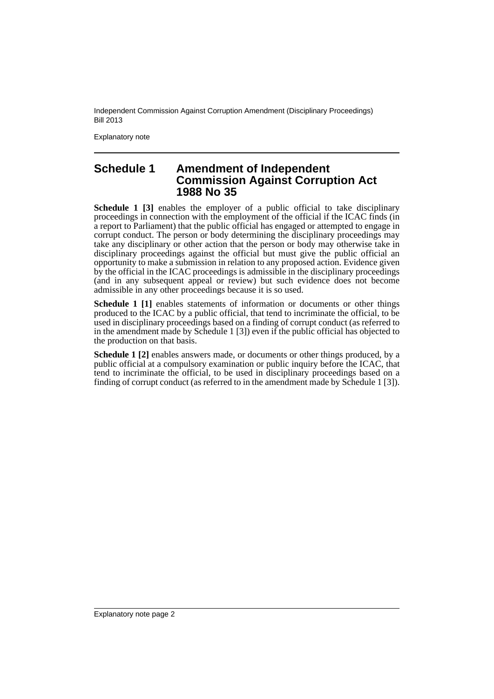Independent Commission Against Corruption Amendment (Disciplinary Proceedings) Bill 2013

Explanatory note

### **Schedule 1 Amendment of Independent Commission Against Corruption Act 1988 No 35**

**Schedule 1 [3]** enables the employer of a public official to take disciplinary proceedings in connection with the employment of the official if the ICAC finds (in a report to Parliament) that the public official has engaged or attempted to engage in corrupt conduct. The person or body determining the disciplinary proceedings may take any disciplinary or other action that the person or body may otherwise take in disciplinary proceedings against the official but must give the public official an opportunity to make a submission in relation to any proposed action. Evidence given by the official in the ICAC proceedings is admissible in the disciplinary proceedings (and in any subsequent appeal or review) but such evidence does not become admissible in any other proceedings because it is so used.

**Schedule 1 [1]** enables statements of information or documents or other things produced to the ICAC by a public official, that tend to incriminate the official, to be used in disciplinary proceedings based on a finding of corrupt conduct (as referred to in the amendment made by Schedule 1 [3]) even if the public official has objected to the production on that basis.

**Schedule 1 [2]** enables answers made, or documents or other things produced, by a public official at a compulsory examination or public inquiry before the ICAC, that tend to incriminate the official, to be used in disciplinary proceedings based on a finding of corrupt conduct (as referred to in the amendment made by Schedule 1 [3]).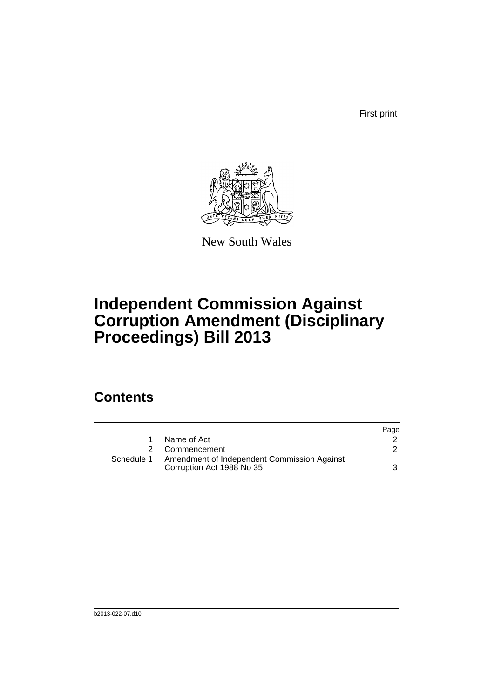First print



New South Wales

# **Independent Commission Against Corruption Amendment (Disciplinary Proceedings) Bill 2013**

## **Contents**

|            |                                                                          | Page |
|------------|--------------------------------------------------------------------------|------|
|            | Name of Act                                                              |      |
|            | 2 Commencement                                                           |      |
| Schedule 1 | Amendment of Independent Commission Against<br>Corruption Act 1988 No 35 | 3    |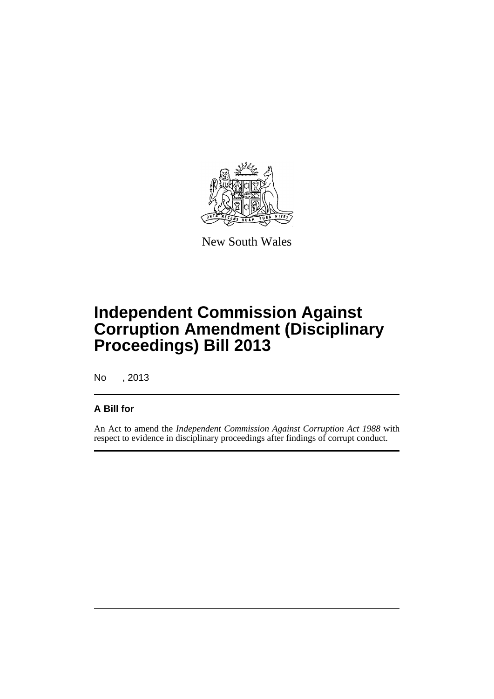

New South Wales

# **Independent Commission Against Corruption Amendment (Disciplinary Proceedings) Bill 2013**

No , 2013

### **A Bill for**

An Act to amend the *Independent Commission Against Corruption Act 1988* with respect to evidence in disciplinary proceedings after findings of corrupt conduct.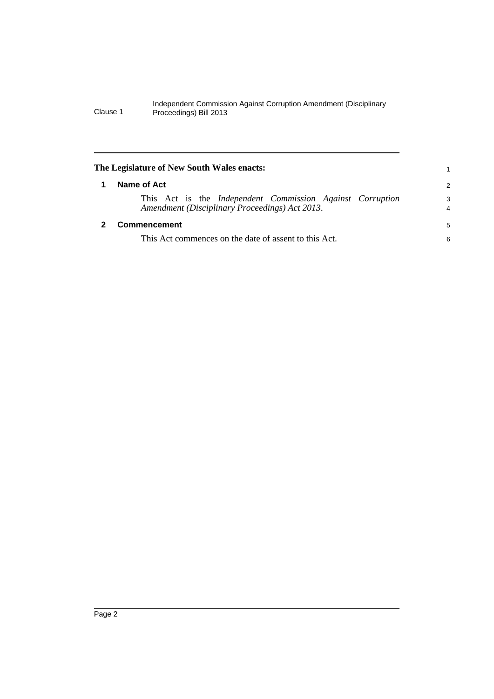#### Independent Commission Against Corruption Amendment (Disciplinary Clause 1 Proceedings) Bill 2013

<span id="page-5-1"></span><span id="page-5-0"></span>

| The Legislature of New South Wales enacts:                                                                  |                     |  |
|-------------------------------------------------------------------------------------------------------------|---------------------|--|
| Name of Act                                                                                                 | 2                   |  |
| This Act is the Independent Commission Against Corruption<br>Amendment (Disciplinary Proceedings) Act 2013. | 3<br>$\overline{4}$ |  |
| <b>Commencement</b>                                                                                         |                     |  |
| This Act commences on the date of assent to this Act.                                                       |                     |  |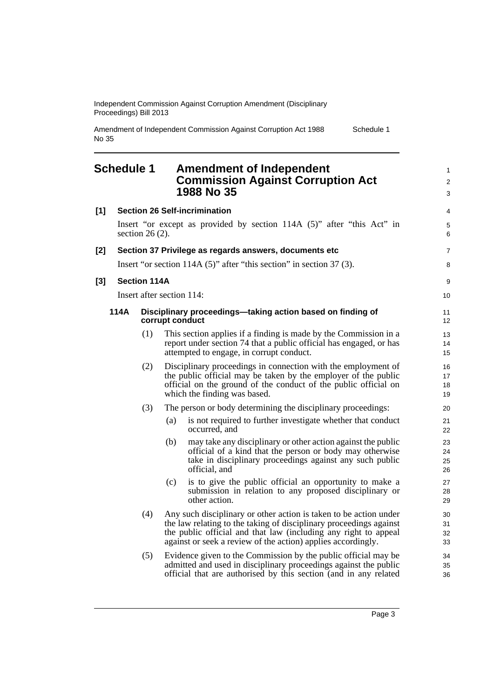Independent Commission Against Corruption Amendment (Disciplinary Proceedings) Bill 2013

Amendment of Independent Commission Against Corruption Act 1988 No 35 Schedule 1

### <span id="page-6-0"></span>**Schedule 1 Amendment of Independent Commission Against Corruption Act 1988 No 35**

| [1] |      |                     | <b>Section 26 Self-incrimination</b>                                                                                                                                                                                                                                       | 4                       |
|-----|------|---------------------|----------------------------------------------------------------------------------------------------------------------------------------------------------------------------------------------------------------------------------------------------------------------------|-------------------------|
|     |      | section $26(2)$ .   | Insert "or except as provided by section 114A (5)" after "this Act" in                                                                                                                                                                                                     | 5<br>6                  |
| [2] |      |                     | Section 37 Privilege as regards answers, documents etc                                                                                                                                                                                                                     | $\overline{7}$          |
|     |      |                     | Insert "or section $114A(5)$ " after "this section" in section 37(3).                                                                                                                                                                                                      | 8                       |
| [3] |      | <b>Section 114A</b> |                                                                                                                                                                                                                                                                            | 9                       |
|     |      |                     | Insert after section 114:                                                                                                                                                                                                                                                  | 10                      |
|     | 114A |                     | Disciplinary proceedings-taking action based on finding of<br>corrupt conduct                                                                                                                                                                                              | 11<br>$12 \overline{ }$ |
|     |      | (1)                 | This section applies if a finding is made by the Commission in a<br>report under section 74 that a public official has engaged, or has<br>attempted to engage, in corrupt conduct.                                                                                         | 13<br>14<br>15          |
|     |      | (2)                 | Disciplinary proceedings in connection with the employment of<br>the public official may be taken by the employer of the public<br>official on the ground of the conduct of the public official on<br>which the finding was based.                                         | 16<br>17<br>18<br>19    |
|     |      | (3)                 | The person or body determining the disciplinary proceedings:                                                                                                                                                                                                               | 20                      |
|     |      |                     | is not required to further investigate whether that conduct<br>(a)<br>occurred, and                                                                                                                                                                                        | 21<br>22                |
|     |      |                     | may take any disciplinary or other action against the public<br>(b)<br>official of a kind that the person or body may otherwise<br>take in disciplinary proceedings against any such public<br>official, and                                                               | 23<br>24<br>25<br>26    |
|     |      |                     | is to give the public official an opportunity to make a<br>(c)<br>submission in relation to any proposed disciplinary or<br>other action.                                                                                                                                  | 27<br>28<br>29          |
|     |      | (4)                 | Any such disciplinary or other action is taken to be action under<br>the law relating to the taking of disciplinary proceedings against<br>the public official and that law (including any right to appeal<br>against or seek a review of the action) applies accordingly. | 30<br>31<br>32<br>33    |
|     |      | (5)                 | Evidence given to the Commission by the public official may be<br>admitted and used in disciplinary proceedings against the public<br>official that are authorised by this section (and in any related                                                                     | 34<br>35<br>36          |

1 2 3